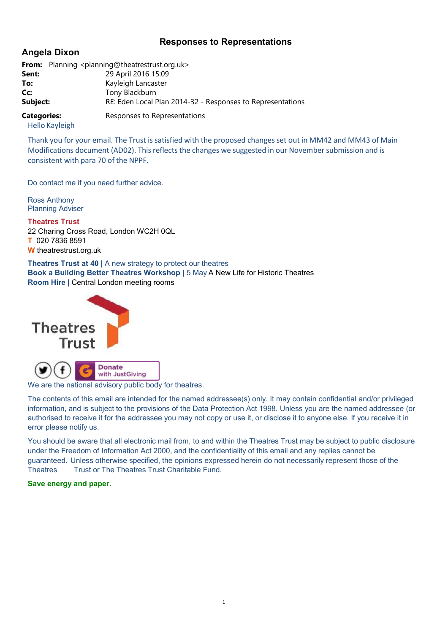### **Responses to Representations**

## **Angela Dixon**

|          | <b>From:</b> Planning <planning@theatrestrust.org.uk></planning@theatrestrust.org.uk> |
|----------|---------------------------------------------------------------------------------------|
| Sent:    | 29 April 2016 15:09                                                                   |
| To:      | Kayleigh Lancaster                                                                    |
| Cc:      | Tony Blackburn                                                                        |
| Subject: | RE: Eden Local Plan 2014-32 - Responses to Representations                            |
|          |                                                                                       |

**Categories:** Responses to Representations

#### Hello Kayleigh

Thank you for your email. The Trust is satisfied with the proposed changes set out in MM42 and MM43 of Main Modifications document (AD02). This reflects the changes we suggested in our November submission and is consistent with para 70 of the NPPF.

Do contact me if you need further advice.

Ross Anthony Planning Adviser

#### **Theatres Trust**

22 Charing Cross Road, London WC2H 0QL **T** 020 7836 8591 **W** theatrestrust.org.uk

#### **Theatres Trust at 40 |** A new strategy to protect our theatres

**Book a Building Better Theatres Workshop |** 5 May A New Life for Historic Theatres **Room Hire |** Central London meeting rooms



We are the national advisory public body for theatres.

The contents of this email are intended for the named addressee(s) only. It may contain confidential and/or privileged information, and is subject to the provisions of the Data Protection Act 1998. Unless you are the named addressee (or authorised to receive it for the addressee you may not copy or use it, or disclose it to anyone else. If you receive it in error please notify us.

You should be aware that all electronic mail from, to and within the Theatres Trust may be subject to public disclosure under the Freedom of Information Act 2000, and the confidentiality of this email and any replies cannot be guaranteed. Unless otherwise specified, the opinions expressed herein do not necessarily represent those of the Theatres Trust or The Theatres Trust Charitable Fund.

#### **Save energy and paper.**